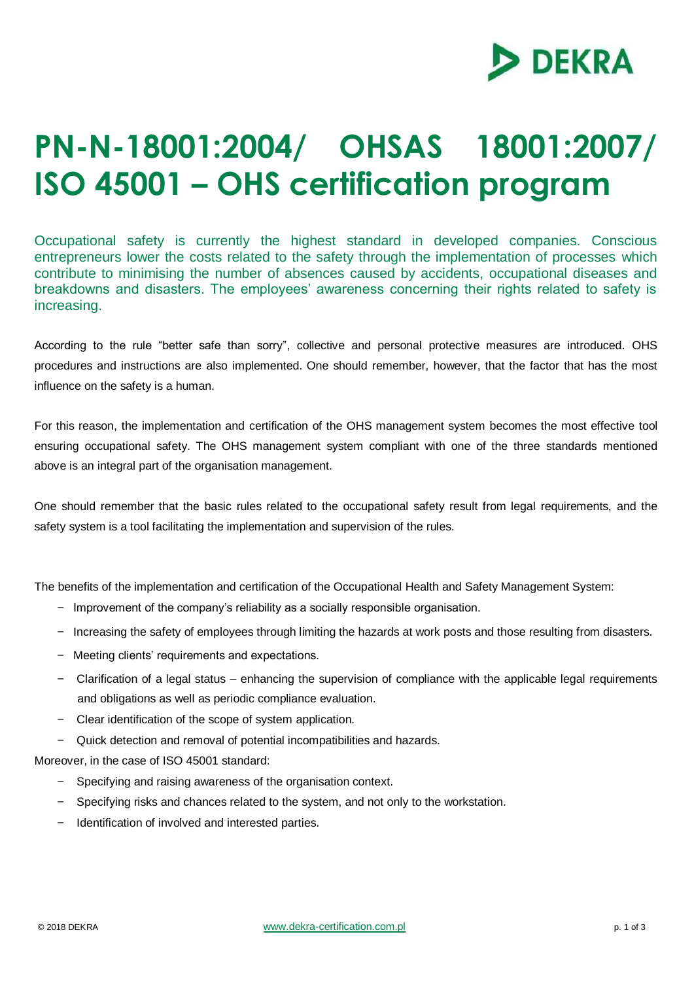

## **PN-N-18001:2004/ OHSAS 18001:2007/ ISO 45001 – OHS certification program**

Occupational safety is currently the highest standard in developed companies. Conscious entrepreneurs lower the costs related to the safety through the implementation of processes which contribute to minimising the number of absences caused by accidents, occupational diseases and breakdowns and disasters. The employees' awareness concerning their rights related to safety is increasing.

According to the rule "better safe than sorry", collective and personal protective measures are introduced. OHS procedures and instructions are also implemented. One should remember, however, that the factor that has the most influence on the safety is a human.

For this reason, the implementation and certification of the OHS management system becomes the most effective tool ensuring occupational safety. The OHS management system compliant with one of the three standards mentioned above is an integral part of the organisation management.

One should remember that the basic rules related to the occupational safety result from legal requirements, and the safety system is a tool facilitating the implementation and supervision of the rules.

The benefits of the implementation and certification of the Occupational Health and Safety Management System:

- Improvement of the company's reliability as a socially responsible organisation.
- Increasing the safety of employees through limiting the hazards at work posts and those resulting from disasters.
- Meeting clients' requirements and expectations.
- Clarification of a legal status enhancing the supervision of compliance with the applicable legal requirements and obligations as well as periodic compliance evaluation.
- Clear identification of the scope of system application.
- Quick detection and removal of potential incompatibilities and hazards.

Moreover, in the case of ISO 45001 standard:

- Specifying and raising awareness of the organisation context.
- Specifying risks and chances related to the system, and not only to the workstation.
- Identification of involved and interested parties.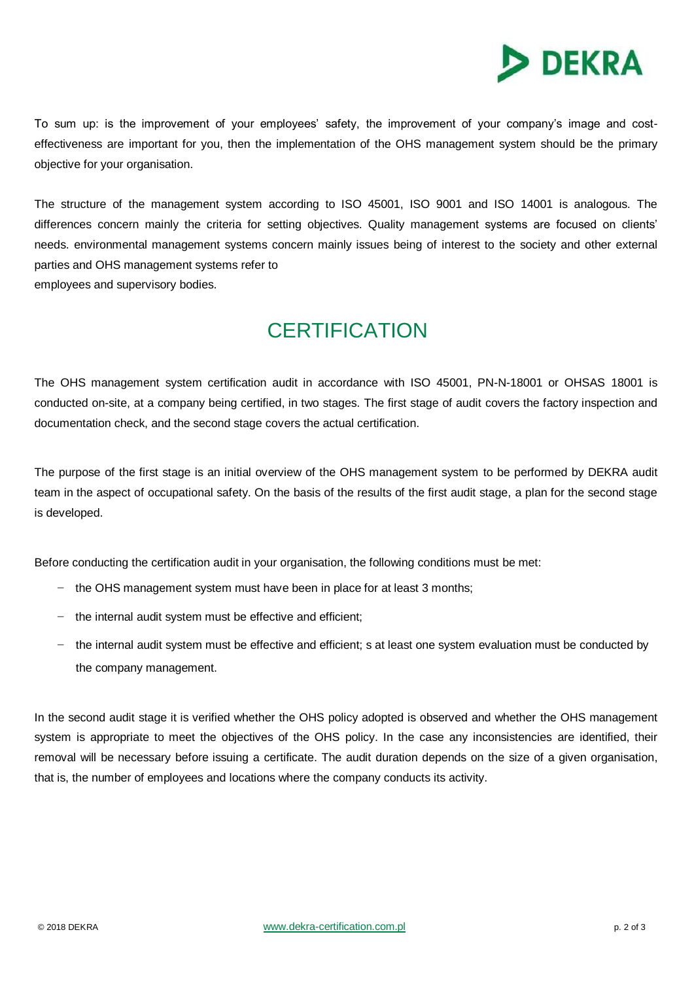

To sum up: is the improvement of your employees' safety, the improvement of your company's image and costeffectiveness are important for you, then the implementation of the OHS management system should be the primary objective for your organisation.

The structure of the management system according to ISO 45001, ISO 9001 and ISO 14001 is analogous. The differences concern mainly the criteria for setting objectives. Quality management systems are focused on clients' needs. environmental management systems concern mainly issues being of interest to the society and other external parties and OHS management systems refer to employees and supervisory bodies.

## **CERTIFICATION**

The OHS management system certification audit in accordance with ISO 45001, PN-N-18001 or OHSAS 18001 is conducted on-site, at a company being certified, in two stages. The first stage of audit covers the factory inspection and documentation check, and the second stage covers the actual certification.

The purpose of the first stage is an initial overview of the OHS management system to be performed by DEKRA audit team in the aspect of occupational safety. On the basis of the results of the first audit stage, a plan for the second stage is developed.

Before conducting the certification audit in your organisation, the following conditions must be met:

- the OHS management system must have been in place for at least 3 months;
- the internal audit system must be effective and efficient;
- the internal audit system must be effective and efficient; s at least one system evaluation must be conducted by the company management.

In the second audit stage it is verified whether the OHS policy adopted is observed and whether the OHS management system is appropriate to meet the objectives of the OHS policy. In the case any inconsistencies are identified, their removal will be necessary before issuing a certificate. The audit duration depends on the size of a given organisation, that is, the number of employees and locations where the company conducts its activity.